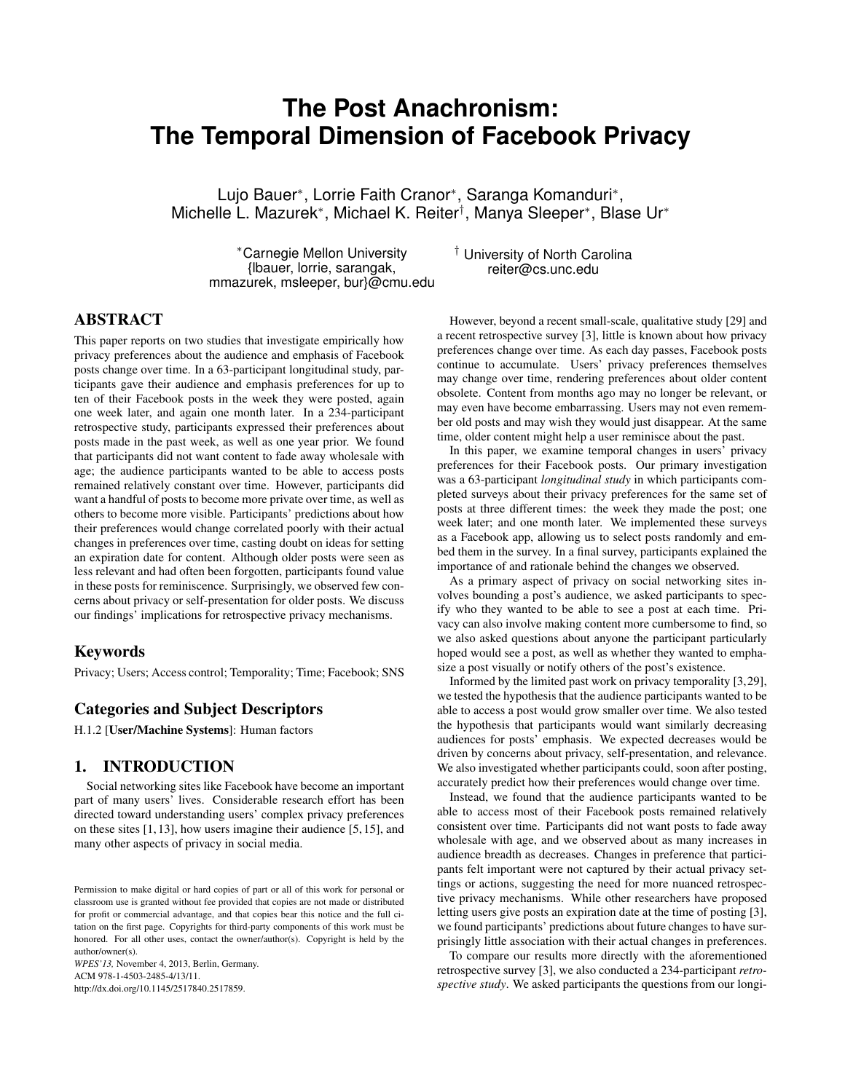# **The Post Anachronism: The Temporal Dimension of Facebook Privacy**

Lujo Bauer<sup>∗</sup> , Lorrie Faith Cranor<sup>∗</sup> , Saranga Komanduri<sup>∗</sup> , Michelle L. Mazurek<sup>∗</sup> , Michael K. Reiter† , Manya Sleeper<sup>∗</sup> , Blase Ur<sup>∗</sup>

<sup>∗</sup>Carnegie Mellon University {lbauer, lorrie, sarangak, mmazurek, msleeper, bur}@cmu.edu † University of North Carolina reiter@cs.unc.edu

## ABSTRACT

This paper reports on two studies that investigate empirically how privacy preferences about the audience and emphasis of Facebook posts change over time. In a 63-participant longitudinal study, participants gave their audience and emphasis preferences for up to ten of their Facebook posts in the week they were posted, again one week later, and again one month later. In a 234-participant retrospective study, participants expressed their preferences about posts made in the past week, as well as one year prior. We found that participants did not want content to fade away wholesale with age; the audience participants wanted to be able to access posts remained relatively constant over time. However, participants did want a handful of posts to become more private over time, as well as others to become more visible. Participants' predictions about how their preferences would change correlated poorly with their actual changes in preferences over time, casting doubt on ideas for setting an expiration date for content. Although older posts were seen as less relevant and had often been forgotten, participants found value in these posts for reminiscence. Surprisingly, we observed few concerns about privacy or self-presentation for older posts. We discuss our findings' implications for retrospective privacy mechanisms.

## Keywords

Privacy; Users; Access control; Temporality; Time; Facebook; SNS

## Categories and Subject Descriptors

H.1.2 [User/Machine Systems]: Human factors

## 1. INTRODUCTION

Social networking sites like Facebook have become an important part of many users' lives. Considerable research effort has been directed toward understanding users' complex privacy preferences on these sites [\[1,](#page-9-0)[13\]](#page-9-1), how users imagine their audience [\[5,](#page-9-2)[15\]](#page-9-3), and many other aspects of privacy in social media.

*WPES'13,* November 4, 2013, Berlin, Germany. ACM 978-1-4503-2485-4/13/11. http://dx.doi.org/10.1145/2517840.2517859.

However, beyond a recent small-scale, qualitative study [\[29\]](#page-9-4) and a recent retrospective survey [\[3\]](#page-9-5), little is known about how privacy preferences change over time. As each day passes, Facebook posts continue to accumulate. Users' privacy preferences themselves may change over time, rendering preferences about older content obsolete. Content from months ago may no longer be relevant, or may even have become embarrassing. Users may not even remember old posts and may wish they would just disappear. At the same time, older content might help a user reminisce about the past.

In this paper, we examine temporal changes in users' privacy preferences for their Facebook posts. Our primary investigation was a 63-participant *longitudinal study* in which participants completed surveys about their privacy preferences for the same set of posts at three different times: the week they made the post; one week later; and one month later. We implemented these surveys as a Facebook app, allowing us to select posts randomly and embed them in the survey. In a final survey, participants explained the importance of and rationale behind the changes we observed.

As a primary aspect of privacy on social networking sites involves bounding a post's audience, we asked participants to specify who they wanted to be able to see a post at each time. Privacy can also involve making content more cumbersome to find, so we also asked questions about anyone the participant particularly hoped would see a post, as well as whether they wanted to emphasize a post visually or notify others of the post's existence.

Informed by the limited past work on privacy temporality [\[3,](#page-9-5)[29\]](#page-9-4), we tested the hypothesis that the audience participants wanted to be able to access a post would grow smaller over time. We also tested the hypothesis that participants would want similarly decreasing audiences for posts' emphasis. We expected decreases would be driven by concerns about privacy, self-presentation, and relevance. We also investigated whether participants could, soon after posting, accurately predict how their preferences would change over time.

Instead, we found that the audience participants wanted to be able to access most of their Facebook posts remained relatively consistent over time. Participants did not want posts to fade away wholesale with age, and we observed about as many increases in audience breadth as decreases. Changes in preference that participants felt important were not captured by their actual privacy settings or actions, suggesting the need for more nuanced retrospective privacy mechanisms. While other researchers have proposed letting users give posts an expiration date at the time of posting [\[3\]](#page-9-5), we found participants' predictions about future changes to have surprisingly little association with their actual changes in preferences.

To compare our results more directly with the aforementioned retrospective survey [\[3\]](#page-9-5), we also conducted a 234-participant *retrospective study*. We asked participants the questions from our longi-

Permission to make digital or hard copies of part or all of this work for personal or classroom use is granted without fee provided that copies are not made or distributed for profit or commercial advantage, and that copies bear this notice and the full citation on the first page. Copyrights for third-party components of this work must be honored. For all other uses, contact the owner/author(s). Copyright is held by the author/owner(s).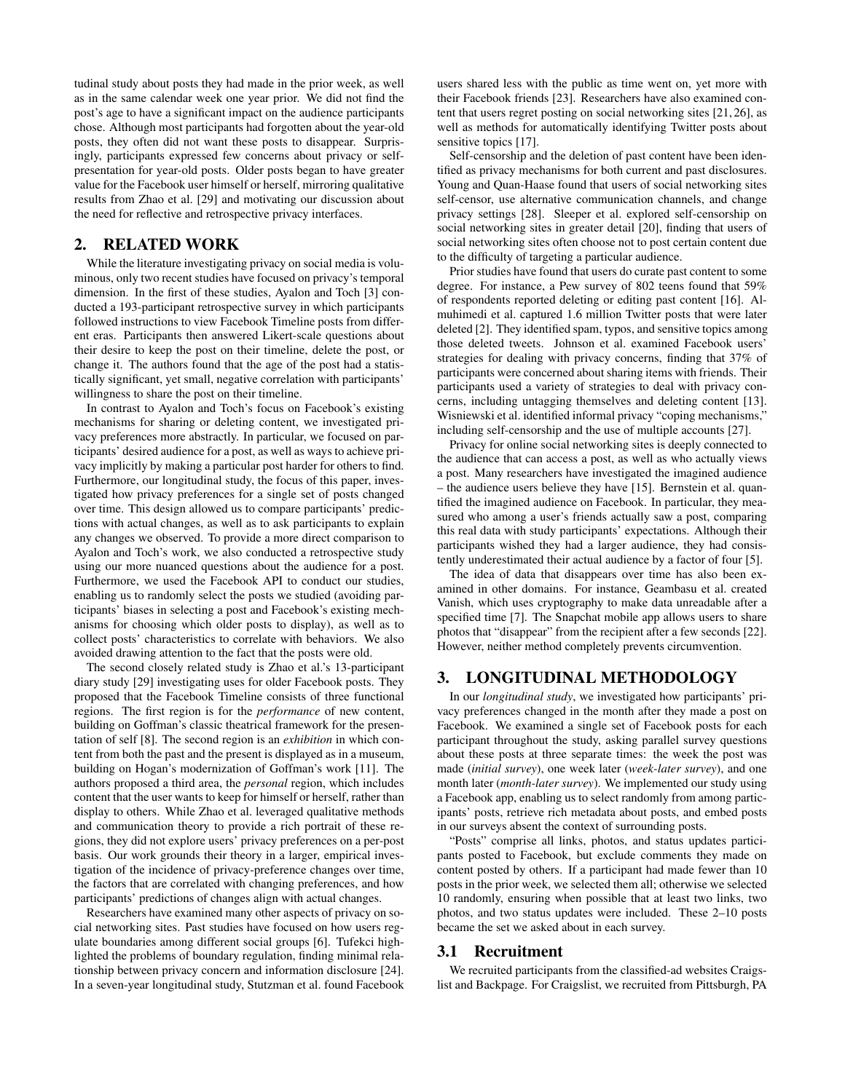tudinal study about posts they had made in the prior week, as well as in the same calendar week one year prior. We did not find the post's age to have a significant impact on the audience participants chose. Although most participants had forgotten about the year-old posts, they often did not want these posts to disappear. Surprisingly, participants expressed few concerns about privacy or selfpresentation for year-old posts. Older posts began to have greater value for the Facebook user himself or herself, mirroring qualitative results from Zhao et al. [\[29\]](#page-9-4) and motivating our discussion about the need for reflective and retrospective privacy interfaces.

## 2. RELATED WORK

While the literature investigating privacy on social media is voluminous, only two recent studies have focused on privacy's temporal dimension. In the first of these studies, Ayalon and Toch [\[3\]](#page-9-5) conducted a 193-participant retrospective survey in which participants followed instructions to view Facebook Timeline posts from different eras. Participants then answered Likert-scale questions about their desire to keep the post on their timeline, delete the post, or change it. The authors found that the age of the post had a statistically significant, yet small, negative correlation with participants' willingness to share the post on their timeline.

In contrast to Ayalon and Toch's focus on Facebook's existing mechanisms for sharing or deleting content, we investigated privacy preferences more abstractly. In particular, we focused on participants' desired audience for a post, as well as ways to achieve privacy implicitly by making a particular post harder for others to find. Furthermore, our longitudinal study, the focus of this paper, investigated how privacy preferences for a single set of posts changed over time. This design allowed us to compare participants' predictions with actual changes, as well as to ask participants to explain any changes we observed. To provide a more direct comparison to Ayalon and Toch's work, we also conducted a retrospective study using our more nuanced questions about the audience for a post. Furthermore, we used the Facebook API to conduct our studies, enabling us to randomly select the posts we studied (avoiding participants' biases in selecting a post and Facebook's existing mechanisms for choosing which older posts to display), as well as to collect posts' characteristics to correlate with behaviors. We also avoided drawing attention to the fact that the posts were old.

The second closely related study is Zhao et al.'s 13-participant diary study [\[29\]](#page-9-4) investigating uses for older Facebook posts. They proposed that the Facebook Timeline consists of three functional regions. The first region is for the *performance* of new content, building on Goffman's classic theatrical framework for the presentation of self [\[8\]](#page-9-6). The second region is an *exhibition* in which content from both the past and the present is displayed as in a museum, building on Hogan's modernization of Goffman's work [\[11\]](#page-9-7). The authors proposed a third area, the *personal* region, which includes content that the user wants to keep for himself or herself, rather than display to others. While Zhao et al. leveraged qualitative methods and communication theory to provide a rich portrait of these regions, they did not explore users' privacy preferences on a per-post basis. Our work grounds their theory in a larger, empirical investigation of the incidence of privacy-preference changes over time, the factors that are correlated with changing preferences, and how participants' predictions of changes align with actual changes.

Researchers have examined many other aspects of privacy on social networking sites. Past studies have focused on how users regulate boundaries among different social groups [\[6\]](#page-9-8). Tufekci highlighted the problems of boundary regulation, finding minimal relationship between privacy concern and information disclosure [\[24\]](#page-9-9). In a seven-year longitudinal study, Stutzman et al. found Facebook users shared less with the public as time went on, yet more with their Facebook friends [\[23\]](#page-9-10). Researchers have also examined content that users regret posting on social networking sites [\[21,](#page-9-11) [26\]](#page-9-12), as well as methods for automatically identifying Twitter posts about sensitive topics [\[17\]](#page-9-13).

Self-censorship and the deletion of past content have been identified as privacy mechanisms for both current and past disclosures. Young and Quan-Haase found that users of social networking sites self-censor, use alternative communication channels, and change privacy settings [\[28\]](#page-9-14). Sleeper et al. explored self-censorship on social networking sites in greater detail [\[20\]](#page-9-15), finding that users of social networking sites often choose not to post certain content due to the difficulty of targeting a particular audience.

Prior studies have found that users do curate past content to some degree. For instance, a Pew survey of 802 teens found that 59% of respondents reported deleting or editing past content [\[16\]](#page-9-16). Almuhimedi et al. captured 1.6 million Twitter posts that were later deleted [\[2\]](#page-9-17). They identified spam, typos, and sensitive topics among those deleted tweets. Johnson et al. examined Facebook users' strategies for dealing with privacy concerns, finding that 37% of participants were concerned about sharing items with friends. Their participants used a variety of strategies to deal with privacy concerns, including untagging themselves and deleting content [\[13\]](#page-9-1). Wisniewski et al. identified informal privacy "coping mechanisms," including self-censorship and the use of multiple accounts [\[27\]](#page-9-18).

Privacy for online social networking sites is deeply connected to the audience that can access a post, as well as who actually views a post. Many researchers have investigated the imagined audience – the audience users believe they have [\[15\]](#page-9-3). Bernstein et al. quantified the imagined audience on Facebook. In particular, they measured who among a user's friends actually saw a post, comparing this real data with study participants' expectations. Although their participants wished they had a larger audience, they had consistently underestimated their actual audience by a factor of four [\[5\]](#page-9-2).

The idea of data that disappears over time has also been examined in other domains. For instance, Geambasu et al. created Vanish, which uses cryptography to make data unreadable after a specified time [\[7\]](#page-9-19). The Snapchat mobile app allows users to share photos that "disappear" from the recipient after a few seconds [\[22\]](#page-9-20). However, neither method completely prevents circumvention.

## 3. LONGITUDINAL METHODOLOGY

In our *longitudinal study*, we investigated how participants' privacy preferences changed in the month after they made a post on Facebook. We examined a single set of Facebook posts for each participant throughout the study, asking parallel survey questions about these posts at three separate times: the week the post was made (*initial survey*), one week later (*week-later survey*), and one month later (*month-later survey*). We implemented our study using a Facebook app, enabling us to select randomly from among participants' posts, retrieve rich metadata about posts, and embed posts in our surveys absent the context of surrounding posts.

"Posts" comprise all links, photos, and status updates participants posted to Facebook, but exclude comments they made on content posted by others. If a participant had made fewer than 10 posts in the prior week, we selected them all; otherwise we selected 10 randomly, ensuring when possible that at least two links, two photos, and two status updates were included. These 2–10 posts became the set we asked about in each survey.

#### 3.1 Recruitment

We recruited participants from the classified-ad websites Craigslist and Backpage. For Craigslist, we recruited from Pittsburgh, PA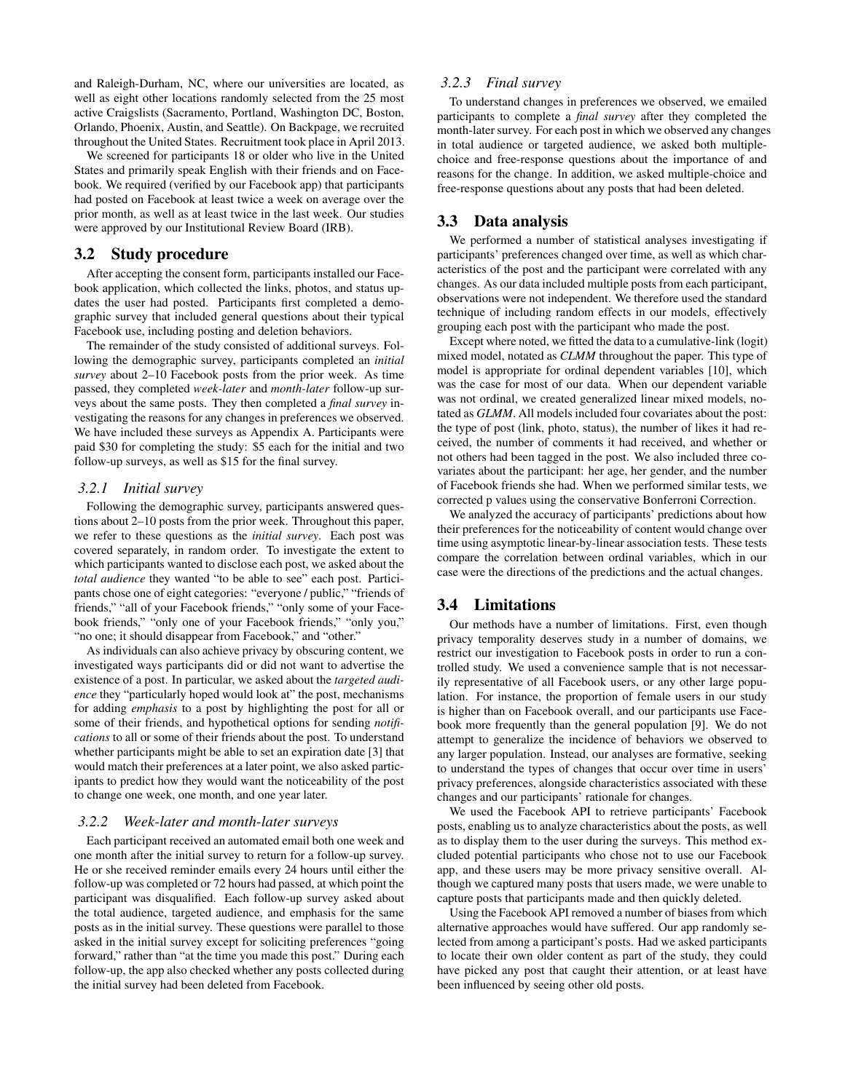and Raleigh-Durham, NC, where our universities are located, as well as eight other locations randomly selected from the 25 most active Craigslists (Sacramento, Portland, Washington DC, Boston, Orlando, Phoenix, Austin, and Seattle). On Backpage, we recruited throughout the United States. Recruitment took place in April 2013.

We screened for participants 18 or older who live in the United States and primarily speak English with their friends and on Facebook. We required (verified by our Facebook app) that participants had posted on Facebook at least twice a week on average over the prior month, as well as at least twice in the last week. Our studies were approved by our Institutional Review Board (IRB).

## 3.2 Study procedure

After accepting the consent form, participants installed our Facebook application, which collected the links, photos, and status updates the user had posted. Participants first completed a demographic survey that included general questions about their typical Facebook use, including posting and deletion behaviors.

The remainder of the study consisted of additional surveys. Following the demographic survey, participants completed an *initial survey* about 2–10 Facebook posts from the prior week. As time passed, they completed *week-later* and *month-later* follow-up surveys about the same posts. They then completed a *final survey* investigating the reasons for any changes in preferences we observed. We have included these surveys as Appendix [A.](#page-10-0) Participants were paid \$30 for completing the study: \$5 each for the initial and two follow-up surveys, as well as \$15 for the final survey.

#### *3.2.1 Initial survey*

Following the demographic survey, participants answered questions about 2–10 posts from the prior week. Throughout this paper, we refer to these questions as the *initial survey*. Each post was covered separately, in random order. To investigate the extent to which participants wanted to disclose each post, we asked about the *total audience* they wanted "to be able to see" each post. Participants chose one of eight categories: "everyone / public," "friends of friends," "all of your Facebook friends," "only some of your Facebook friends," "only one of your Facebook friends," "only you," "no one; it should disappear from Facebook," and "other."

As individuals can also achieve privacy by obscuring content, we investigated ways participants did or did not want to advertise the existence of a post. In particular, we asked about the *targeted audience* they "particularly hoped would look at" the post, mechanisms for adding *emphasis* to a post by highlighting the post for all or some of their friends, and hypothetical options for sending *notifications* to all or some of their friends about the post. To understand whether participants might be able to set an expiration date [\[3\]](#page-9-5) that would match their preferences at a later point, we also asked participants to predict how they would want the noticeability of the post to change one week, one month, and one year later.

#### *3.2.2 Week-later and month-later surveys*

Each participant received an automated email both one week and one month after the initial survey to return for a follow-up survey. He or she received reminder emails every 24 hours until either the follow-up was completed or 72 hours had passed, at which point the participant was disqualified. Each follow-up survey asked about the total audience, targeted audience, and emphasis for the same posts as in the initial survey. These questions were parallel to those asked in the initial survey except for soliciting preferences "going forward," rather than "at the time you made this post." During each follow-up, the app also checked whether any posts collected during the initial survey had been deleted from Facebook.

#### *3.2.3 Final survey*

To understand changes in preferences we observed, we emailed participants to complete a *final survey* after they completed the month-later survey. For each post in which we observed any changes in total audience or targeted audience, we asked both multiplechoice and free-response questions about the importance of and reasons for the change. In addition, we asked multiple-choice and free-response questions about any posts that had been deleted.

## <span id="page-2-0"></span>3.3 Data analysis

We performed a number of statistical analyses investigating if participants' preferences changed over time, as well as which characteristics of the post and the participant were correlated with any changes. As our data included multiple posts from each participant, observations were not independent. We therefore used the standard technique of including random effects in our models, effectively grouping each post with the participant who made the post.

Except where noted, we fitted the data to a cumulative-link (logit) mixed model, notated as *CLMM* throughout the paper. This type of model is appropriate for ordinal dependent variables [\[10\]](#page-9-21), which was the case for most of our data. When our dependent variable was not ordinal, we created generalized linear mixed models, notated as *GLMM*. All models included four covariates about the post: the type of post (link, photo, status), the number of likes it had received, the number of comments it had received, and whether or not others had been tagged in the post. We also included three covariates about the participant: her age, her gender, and the number of Facebook friends she had. When we performed similar tests, we corrected p values using the conservative Bonferroni Correction.

We analyzed the accuracy of participants' predictions about how their preferences for the noticeability of content would change over time using asymptotic linear-by-linear association tests. These tests compare the correlation between ordinal variables, which in our case were the directions of the predictions and the actual changes.

## 3.4 Limitations

Our methods have a number of limitations. First, even though privacy temporality deserves study in a number of domains, we restrict our investigation to Facebook posts in order to run a controlled study. We used a convenience sample that is not necessarily representative of all Facebook users, or any other large population. For instance, the proportion of female users in our study is higher than on Facebook overall, and our participants use Facebook more frequently than the general population [\[9\]](#page-9-22). We do not attempt to generalize the incidence of behaviors we observed to any larger population. Instead, our analyses are formative, seeking to understand the types of changes that occur over time in users' privacy preferences, alongside characteristics associated with these changes and our participants' rationale for changes.

We used the Facebook API to retrieve participants' Facebook posts, enabling us to analyze characteristics about the posts, as well as to display them to the user during the surveys. This method excluded potential participants who chose not to use our Facebook app, and these users may be more privacy sensitive overall. Although we captured many posts that users made, we were unable to capture posts that participants made and then quickly deleted.

Using the Facebook API removed a number of biases from which alternative approaches would have suffered. Our app randomly selected from among a participant's posts. Had we asked participants to locate their own older content as part of the study, they could have picked any post that caught their attention, or at least have been influenced by seeing other old posts.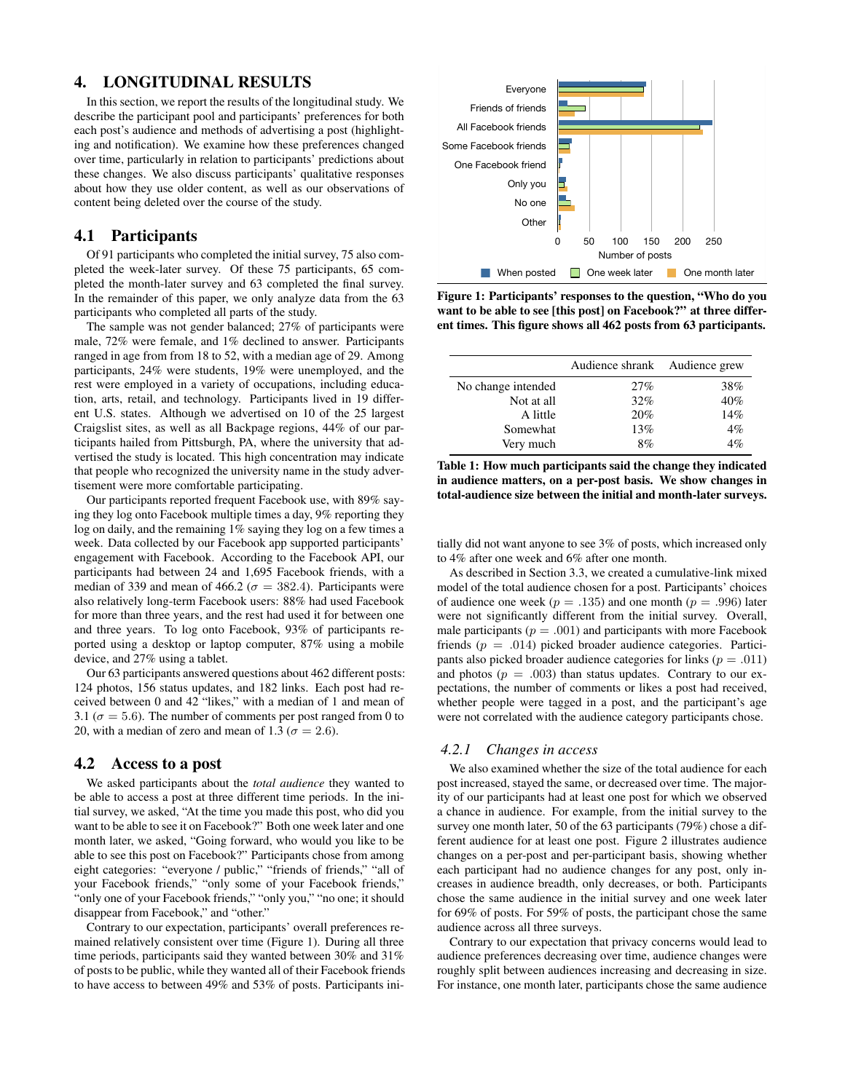## 4. LONGITUDINAL RESULTS

In this section, we report the results of the longitudinal study. We describe the participant pool and participants' preferences for both each post's audience and methods of advertising a post (highlighting and notification). We examine how these preferences changed over time, particularly in relation to participants' predictions about these changes. We also discuss participants' qualitative responses about how they use older content, as well as our observations of content being deleted over the course of the study.

## 4.1 Participants

Of 91 participants who completed the initial survey, 75 also completed the week-later survey. Of these 75 participants, 65 completed the month-later survey and 63 completed the final survey. In the remainder of this paper, we only analyze data from the 63 participants who completed all parts of the study.

The sample was not gender balanced; 27% of participants were male, 72% were female, and 1% declined to answer. Participants ranged in age from from 18 to 52, with a median age of 29. Among participants, 24% were students, 19% were unemployed, and the rest were employed in a variety of occupations, including education, arts, retail, and technology. Participants lived in 19 different U.S. states. Although we advertised on 10 of the 25 largest Craigslist sites, as well as all Backpage regions, 44% of our participants hailed from Pittsburgh, PA, where the university that advertised the study is located. This high concentration may indicate that people who recognized the university name in the study advertisement were more comfortable participating.

Our participants reported frequent Facebook use, with 89% saying they log onto Facebook multiple times a day, 9% reporting they log on daily, and the remaining 1% saying they log on a few times a week. Data collected by our Facebook app supported participants' engagement with Facebook. According to the Facebook API, our participants had between 24 and 1,695 Facebook friends, with a median of 339 and mean of 466.2 ( $\sigma = 382.4$ ). Participants were also relatively long-term Facebook users: 88% had used Facebook for more than three years, and the rest had used it for between one and three years. To log onto Facebook, 93% of participants reported using a desktop or laptop computer, 87% using a mobile device, and 27% using a tablet.

Our 63 participants answered questions about 462 different posts: 124 photos, 156 status updates, and 182 links. Each post had received between 0 and 42 "likes," with a median of 1 and mean of 3.1 ( $\sigma = 5.6$ ). The number of comments per post ranged from 0 to 20, with a median of zero and mean of 1.3 ( $\sigma = 2.6$ ).

## <span id="page-3-2"></span>4.2 Access to a post

We asked participants about the *total audience* they wanted to be able to access a post at three different time periods. In the initial survey, we asked, "At the time you made this post, who did you want to be able to see it on Facebook?" Both one week later and one month later, we asked, "Going forward, who would you like to be able to see this post on Facebook?" Participants chose from among eight categories: "everyone / public," "friends of friends," "all of your Facebook friends," "only some of your Facebook friends," "only one of your Facebook friends," "only you," "no one; it should disappear from Facebook," and "other."

Contrary to our expectation, participants' overall preferences remained relatively consistent over time (Figure [1\)](#page-3-0). During all three time periods, participants said they wanted between 30% and 31% of posts to be public, while they wanted all of their Facebook friends to have access to between 49% and 53% of posts. Participants ini-



<span id="page-3-0"></span>Figure 1: Participants' responses to the question, "Who do you want to be able to see [this post] on Facebook?" at three different times. This figure shows all 462 posts from 63 participants.

|                    | Audience shrank Audience grew |       |
|--------------------|-------------------------------|-------|
| No change intended | 27%                           | 38%   |
| Not at all         | 32%                           | 40%   |
| A little           | 20%                           | 14%   |
| Somewhat           | 13%                           | $4\%$ |
| Very much          | 8%                            | 4%    |

<span id="page-3-1"></span>Table 1: How much participants said the change they indicated in audience matters, on a per-post basis. We show changes in total-audience size between the initial and month-later surveys.

tially did not want anyone to see 3% of posts, which increased only to 4% after one week and 6% after one month.

As described in Section [3.3,](#page-2-0) we created a cumulative-link mixed model of the total audience chosen for a post. Participants' choices of audience one week ( $p = .135$ ) and one month ( $p = .996$ ) later were not significantly different from the initial survey. Overall, male participants ( $p = .001$ ) and participants with more Facebook friends ( $p = .014$ ) picked broader audience categories. Participants also picked broader audience categories for links ( $p = .011$ ) and photos ( $p = .003$ ) than status updates. Contrary to our expectations, the number of comments or likes a post had received, whether people were tagged in a post, and the participant's age were not correlated with the audience category participants chose.

#### *4.2.1 Changes in access*

We also examined whether the size of the total audience for each post increased, stayed the same, or decreased over time. The majority of our participants had at least one post for which we observed a chance in audience. For example, from the initial survey to the survey one month later, 50 of the 63 participants (79%) chose a different audience for at least one post. Figure [2](#page-4-0) illustrates audience changes on a per-post and per-participant basis, showing whether each participant had no audience changes for any post, only increases in audience breadth, only decreases, or both. Participants chose the same audience in the initial survey and one week later for 69% of posts. For 59% of posts, the participant chose the same audience across all three surveys.

Contrary to our expectation that privacy concerns would lead to audience preferences decreasing over time, audience changes were roughly split between audiences increasing and decreasing in size. For instance, one month later, participants chose the same audience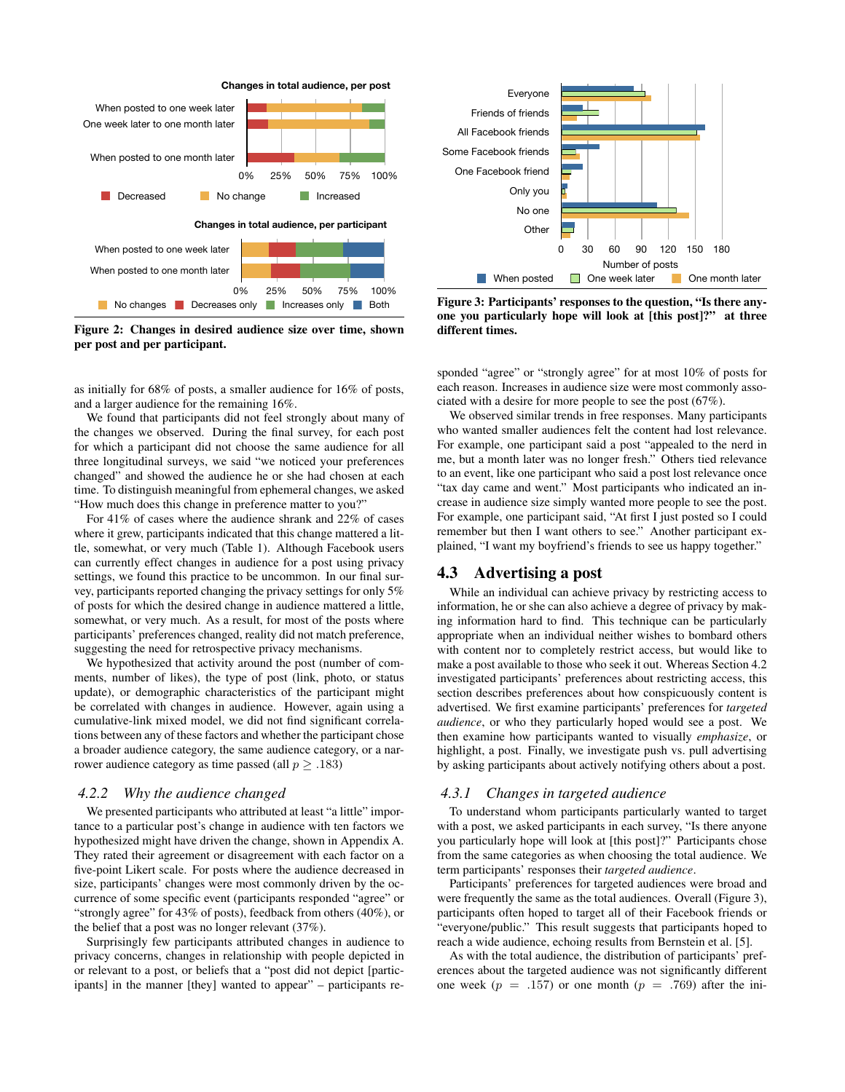

<span id="page-4-0"></span>Figure 2: Changes in desired audience size over time, shown per post and per participant.

as initially for 68% of posts, a smaller audience for 16% of posts, and a larger audience for the remaining 16%.

We found that participants did not feel strongly about many of the changes we observed. During the final survey, for each post for which a participant did not choose the same audience for all three longitudinal surveys, we said "we noticed your preferences changed" and showed the audience he or she had chosen at each time. To distinguish meaningful from ephemeral changes, we asked "How much does this change in preference matter to you?"

For 41% of cases where the audience shrank and 22% of cases where it grew, participants indicated that this change mattered a little, somewhat, or very much (Table [1\)](#page-3-1). Although Facebook users can currently effect changes in audience for a post using privacy settings, we found this practice to be uncommon. In our final survey, participants reported changing the privacy settings for only 5% of posts for which the desired change in audience mattered a little, somewhat, or very much. As a result, for most of the posts where participants' preferences changed, reality did not match preference, suggesting the need for retrospective privacy mechanisms.

We hypothesized that activity around the post (number of comments, number of likes), the type of post (link, photo, or status update), or demographic characteristics of the participant might be correlated with changes in audience. However, again using a cumulative-link mixed model, we did not find significant correlations between any of these factors and whether the participant chose a broader audience category, the same audience category, or a narrower audience category as time passed (all  $p > .183$ )

## *4.2.2 Why the audience changed*

We presented participants who attributed at least "a little" importance to a particular post's change in audience with ten factors we hypothesized might have driven the change, shown in Appendix [A.](#page-10-0) They rated their agreement or disagreement with each factor on a five-point Likert scale. For posts where the audience decreased in size, participants' changes were most commonly driven by the occurrence of some specific event (participants responded "agree" or "strongly agree" for 43% of posts), feedback from others (40%), or the belief that a post was no longer relevant (37%).

Surprisingly few participants attributed changes in audience to privacy concerns, changes in relationship with people depicted in or relevant to a post, or beliefs that a "post did not depict [participants] in the manner [they] wanted to appear" – participants re-



<span id="page-4-1"></span>Figure 3: Participants' responses to the question, "Is there anyone you particularly hope will look at [this post]?" at three different times.

sponded "agree" or "strongly agree" for at most 10% of posts for each reason. Increases in audience size were most commonly associated with a desire for more people to see the post (67%).

We observed similar trends in free responses. Many participants who wanted smaller audiences felt the content had lost relevance. For example, one participant said a post "appealed to the nerd in me, but a month later was no longer fresh." Others tied relevance to an event, like one participant who said a post lost relevance once "tax day came and went." Most participants who indicated an increase in audience size simply wanted more people to see the post. For example, one participant said, "At first I just posted so I could remember but then I want others to see." Another participant explained, "I want my boyfriend's friends to see us happy together."

## 4.3 Advertising a post

While an individual can achieve privacy by restricting access to information, he or she can also achieve a degree of privacy by making information hard to find. This technique can be particularly appropriate when an individual neither wishes to bombard others with content nor to completely restrict access, but would like to make a post available to those who seek it out. Whereas Section [4.2](#page-3-2) investigated participants' preferences about restricting access, this section describes preferences about how conspicuously content is advertised. We first examine participants' preferences for *targeted audience*, or who they particularly hoped would see a post. We then examine how participants wanted to visually *emphasize*, or highlight, a post. Finally, we investigate push vs. pull advertising by asking participants about actively notifying others about a post.

#### *4.3.1 Changes in targeted audience*

To understand whom participants particularly wanted to target with a post, we asked participants in each survey, "Is there anyone you particularly hope will look at [this post]?" Participants chose from the same categories as when choosing the total audience. We term participants' responses their *targeted audience*.

Participants' preferences for targeted audiences were broad and were frequently the same as the total audiences. Overall (Figure [3\)](#page-4-1), participants often hoped to target all of their Facebook friends or "everyone/public." This result suggests that participants hoped to reach a wide audience, echoing results from Bernstein et al. [\[5\]](#page-9-2).

As with the total audience, the distribution of participants' preferences about the targeted audience was not significantly different one week ( $p = .157$ ) or one month ( $p = .769$ ) after the ini-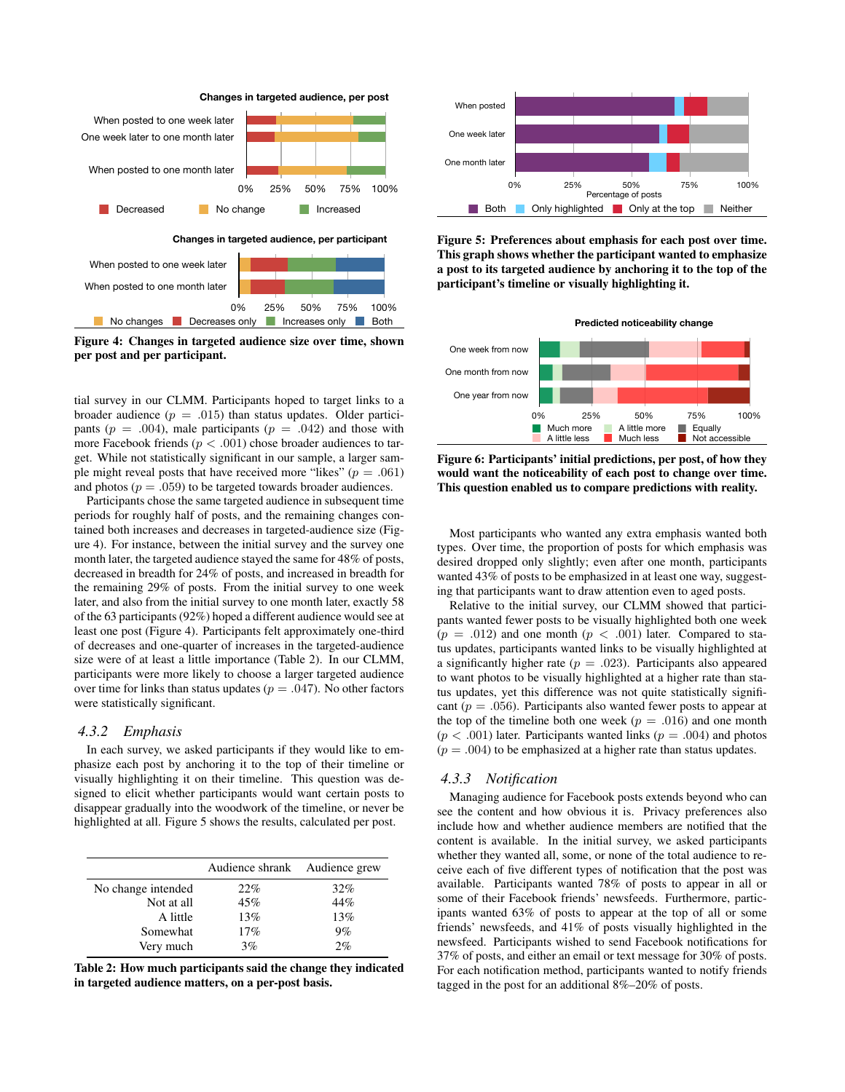

<span id="page-5-0"></span>Figure 4: Changes in targeted audience size over time, shown per post and per participant.

tial survey in our CLMM. Participants hoped to target links to a broader audience ( $p = .015$ ) than status updates. Older participants ( $p = .004$ ), male participants ( $p = .042$ ) and those with more Facebook friends ( $p < .001$ ) chose broader audiences to target. While not statistically significant in our sample, a larger sample might reveal posts that have received more "likes" ( $p = .061$ ) and photos ( $p = .059$ ) to be targeted towards broader audiences.

Participants chose the same targeted audience in subsequent time periods for roughly half of posts, and the remaining changes contained both increases and decreases in targeted-audience size (Figure [4\)](#page-5-0). For instance, between the initial survey and the survey one month later, the targeted audience stayed the same for 48% of posts, decreased in breadth for 24% of posts, and increased in breadth for the remaining 29% of posts. From the initial survey to one week later, and also from the initial survey to one month later, exactly 58 of the 63 participants (92%) hoped a different audience would see at least one post (Figure [4\)](#page-5-0). Participants felt approximately one-third of decreases and one-quarter of increases in the targeted-audience size were of at least a little importance (Table [2\)](#page-5-1). In our CLMM, participants were more likely to choose a larger targeted audience over time for links than status updates ( $p = .047$ ). No other factors were statistically significant.

#### *4.3.2 Emphasis*

In each survey, we asked participants if they would like to emphasize each post by anchoring it to the top of their timeline or visually highlighting it on their timeline. This question was designed to elicit whether participants would want certain posts to disappear gradually into the woodwork of the timeline, or never be highlighted at all. Figure [5](#page-5-2) shows the results, calculated per post.

|                    | Audience shrank Audience grew |     |
|--------------------|-------------------------------|-----|
| No change intended | 22%                           | 32% |
| Not at all         | 45%                           | 44% |
| A little           | 13%                           | 13% |
| Somewhat           | 17%                           | 9%  |
| Very much          | 3%                            | 2%  |

<span id="page-5-1"></span>Table 2: How much participants said the change they indicated in targeted audience matters, on a per-post basis.



<span id="page-5-2"></span>Figure 5: Preferences about emphasis for each post over time. This graph shows whether the participant wanted to emphasize a post to its targeted audience by anchoring it to the top of the participant's timeline or visually highlighting it.



<span id="page-5-3"></span>Figure 6: Participants' initial predictions, per post, of how they would want the noticeability of each post to change over time. This question enabled us to compare predictions with reality.

Most participants who wanted any extra emphasis wanted both types. Over time, the proportion of posts for which emphasis was desired dropped only slightly; even after one month, participants wanted 43% of posts to be emphasized in at least one way, suggesting that participants want to draw attention even to aged posts.

Relative to the initial survey, our CLMM showed that participants wanted fewer posts to be visually highlighted both one week  $(p = .012)$  and one month  $(p < .001)$  later. Compared to status updates, participants wanted links to be visually highlighted at a significantly higher rate ( $p = .023$ ). Participants also appeared to want photos to be visually highlighted at a higher rate than status updates, yet this difference was not quite statistically significant ( $p = .056$ ). Participants also wanted fewer posts to appear at the top of the timeline both one week ( $p = .016$ ) and one month  $(p < .001)$  later. Participants wanted links  $(p = .004)$  and photos  $(p = .004)$  to be emphasized at a higher rate than status updates.

## *4.3.3 Notification*

Managing audience for Facebook posts extends beyond who can see the content and how obvious it is. Privacy preferences also include how and whether audience members are notified that the content is available. In the initial survey, we asked participants whether they wanted all, some, or none of the total audience to receive each of five different types of notification that the post was available. Participants wanted 78% of posts to appear in all or some of their Facebook friends' newsfeeds. Furthermore, participants wanted 63% of posts to appear at the top of all or some friends' newsfeeds, and 41% of posts visually highlighted in the newsfeed. Participants wished to send Facebook notifications for 37% of posts, and either an email or text message for 30% of posts. For each notification method, participants wanted to notify friends tagged in the post for an additional 8%–20% of posts.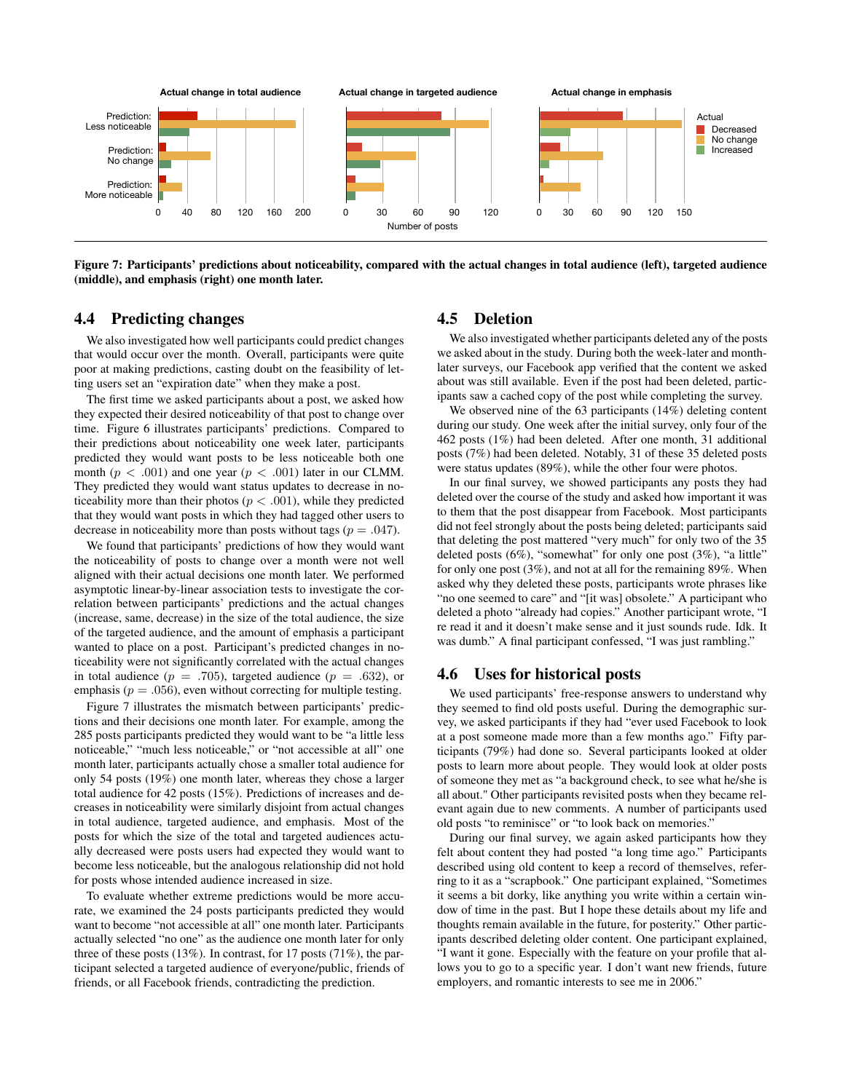

<span id="page-6-0"></span>Figure 7: Participants' predictions about noticeability, compared with the actual changes in total audience (left), targeted audience (middle), and emphasis (right) one month later.

## 4.4 Predicting changes

We also investigated how well participants could predict changes that would occur over the month. Overall, participants were quite poor at making predictions, casting doubt on the feasibility of letting users set an "expiration date" when they make a post.

The first time we asked participants about a post, we asked how they expected their desired noticeability of that post to change over time. Figure [6](#page-5-3) illustrates participants' predictions. Compared to their predictions about noticeability one week later, participants predicted they would want posts to be less noticeable both one month ( $p < .001$ ) and one year ( $p < .001$ ) later in our CLMM. They predicted they would want status updates to decrease in noticeability more than their photos ( $p < .001$ ), while they predicted that they would want posts in which they had tagged other users to decrease in noticeability more than posts without tags ( $p = .047$ ).

We found that participants' predictions of how they would want the noticeability of posts to change over a month were not well aligned with their actual decisions one month later. We performed asymptotic linear-by-linear association tests to investigate the correlation between participants' predictions and the actual changes (increase, same, decrease) in the size of the total audience, the size of the targeted audience, and the amount of emphasis a participant wanted to place on a post. Participant's predicted changes in noticeability were not significantly correlated with the actual changes in total audience ( $p = .705$ ), targeted audience ( $p = .632$ ), or emphasis ( $p = .056$ ), even without correcting for multiple testing.

Figure [7](#page-6-0) illustrates the mismatch between participants' predictions and their decisions one month later. For example, among the 285 posts participants predicted they would want to be "a little less noticeable," "much less noticeable," or "not accessible at all" one month later, participants actually chose a smaller total audience for only 54 posts (19%) one month later, whereas they chose a larger total audience for 42 posts (15%). Predictions of increases and decreases in noticeability were similarly disjoint from actual changes in total audience, targeted audience, and emphasis. Most of the posts for which the size of the total and targeted audiences actually decreased were posts users had expected they would want to become less noticeable, but the analogous relationship did not hold for posts whose intended audience increased in size.

To evaluate whether extreme predictions would be more accurate, we examined the 24 posts participants predicted they would want to become "not accessible at all" one month later. Participants actually selected "no one" as the audience one month later for only three of these posts  $(13\%)$ . In contrast, for 17 posts  $(71\%)$ , the participant selected a targeted audience of everyone/public, friends of friends, or all Facebook friends, contradicting the prediction.

## 4.5 Deletion

We also investigated whether participants deleted any of the posts we asked about in the study. During both the week-later and monthlater surveys, our Facebook app verified that the content we asked about was still available. Even if the post had been deleted, participants saw a cached copy of the post while completing the survey.

We observed nine of the 63 participants (14%) deleting content during our study. One week after the initial survey, only four of the 462 posts (1%) had been deleted. After one month, 31 additional posts (7%) had been deleted. Notably, 31 of these 35 deleted posts were status updates (89%), while the other four were photos.

In our final survey, we showed participants any posts they had deleted over the course of the study and asked how important it was to them that the post disappear from Facebook. Most participants did not feel strongly about the posts being deleted; participants said that deleting the post mattered "very much" for only two of the 35 deleted posts  $(6\%)$ , "somewhat" for only one post  $(3\%)$ , "a little" for only one post (3%), and not at all for the remaining 89%. When asked why they deleted these posts, participants wrote phrases like "no one seemed to care" and "[it was] obsolete." A participant who deleted a photo "already had copies." Another participant wrote, "I re read it and it doesn't make sense and it just sounds rude. Idk. It was dumb." A final participant confessed, "I was just rambling."

## 4.6 Uses for historical posts

We used participants' free-response answers to understand why they seemed to find old posts useful. During the demographic survey, we asked participants if they had "ever used Facebook to look at a post someone made more than a few months ago." Fifty participants (79%) had done so. Several participants looked at older posts to learn more about people. They would look at older posts of someone they met as "a background check, to see what he/she is all about." Other participants revisited posts when they became relevant again due to new comments. A number of participants used old posts "to reminisce" or "to look back on memories."

During our final survey, we again asked participants how they felt about content they had posted "a long time ago." Participants described using old content to keep a record of themselves, referring to it as a "scrapbook." One participant explained, "Sometimes it seems a bit dorky, like anything you write within a certain window of time in the past. But I hope these details about my life and thoughts remain available in the future, for posterity." Other participants described deleting older content. One participant explained, "I want it gone. Especially with the feature on your profile that allows you to go to a specific year. I don't want new friends, future employers, and romantic interests to see me in 2006."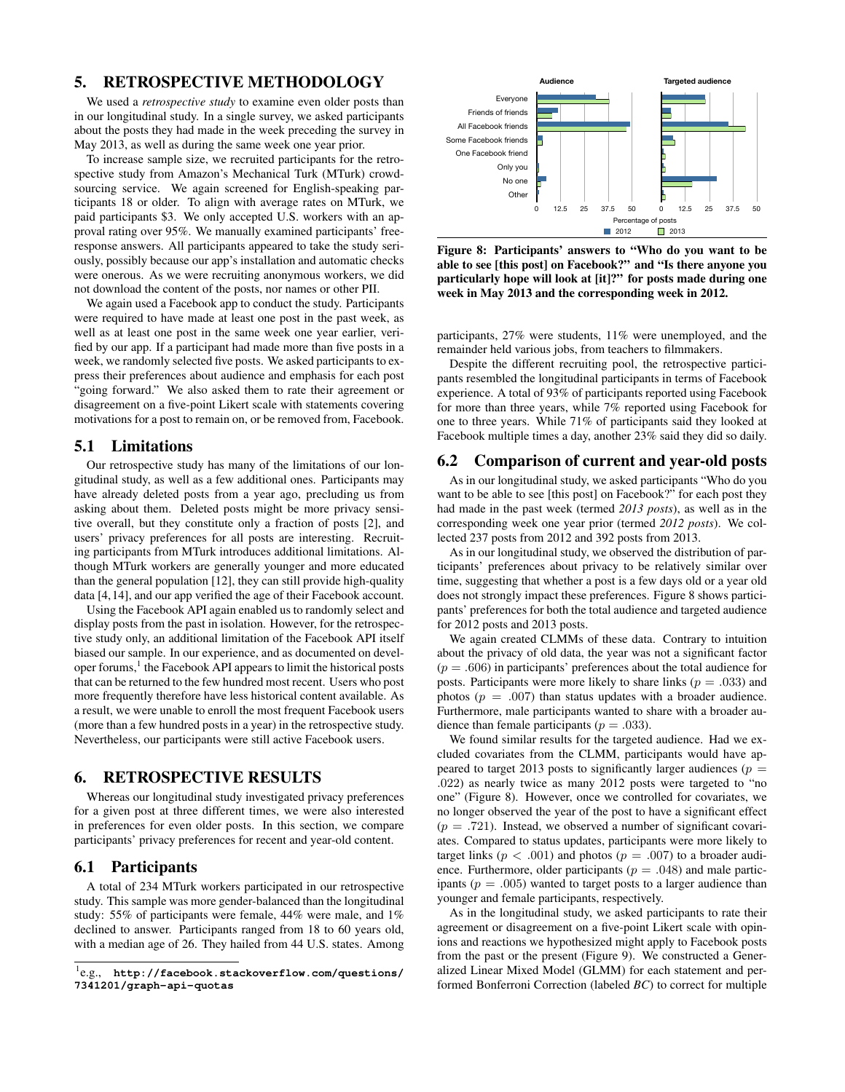## 5. RETROSPECTIVE METHODOLOGY

We used a *retrospective study* to examine even older posts than in our longitudinal study. In a single survey, we asked participants about the posts they had made in the week preceding the survey in May 2013, as well as during the same week one year prior.

To increase sample size, we recruited participants for the retrospective study from Amazon's Mechanical Turk (MTurk) crowdsourcing service. We again screened for English-speaking participants 18 or older. To align with average rates on MTurk, we paid participants \$3. We only accepted U.S. workers with an approval rating over 95%. We manually examined participants' freeresponse answers. All participants appeared to take the study seriously, possibly because our app's installation and automatic checks were onerous. As we were recruiting anonymous workers, we did not download the content of the posts, nor names or other PII.

We again used a Facebook app to conduct the study. Participants were required to have made at least one post in the past week, as well as at least one post in the same week one year earlier, verified by our app. If a participant had made more than five posts in a week, we randomly selected five posts. We asked participants to express their preferences about audience and emphasis for each post "going forward." We also asked them to rate their agreement or disagreement on a five-point Likert scale with statements covering motivations for a post to remain on, or be removed from, Facebook.

## 5.1 Limitations

Our retrospective study has many of the limitations of our longitudinal study, as well as a few additional ones. Participants may have already deleted posts from a year ago, precluding us from asking about them. Deleted posts might be more privacy sensitive overall, but they constitute only a fraction of posts [\[2\]](#page-9-17), and users' privacy preferences for all posts are interesting. Recruiting participants from MTurk introduces additional limitations. Although MTurk workers are generally younger and more educated than the general population [\[12\]](#page-9-23), they can still provide high-quality data [\[4,](#page-9-24)[14\]](#page-9-25), and our app verified the age of their Facebook account.

Using the Facebook API again enabled us to randomly select and display posts from the past in isolation. However, for the retrospective study only, an additional limitation of the Facebook API itself biased our sample. In our experience, and as documented on devel-oper forums,<sup>[1](#page-7-0)</sup> the Facebook API appears to limit the historical posts that can be returned to the few hundred most recent. Users who post more frequently therefore have less historical content available. As a result, we were unable to enroll the most frequent Facebook users (more than a few hundred posts in a year) in the retrospective study. Nevertheless, our participants were still active Facebook users.

## 6. RETROSPECTIVE RESULTS

Whereas our longitudinal study investigated privacy preferences for a given post at three different times, we were also interested in preferences for even older posts. In this section, we compare participants' privacy preferences for recent and year-old content.

## 6.1 Participants

A total of 234 MTurk workers participated in our retrospective study. This sample was more gender-balanced than the longitudinal study: 55% of participants were female, 44% were male, and 1% declined to answer. Participants ranged from 18 to 60 years old, with a median age of 26. They hailed from 44 U.S. states. Among



<span id="page-7-1"></span>Figure 8: Participants' answers to "Who do you want to be able to see [this post] on Facebook?" and "Is there anyone you particularly hope will look at [it]?" for posts made during one week in May 2013 and the corresponding week in 2012.

participants, 27% were students, 11% were unemployed, and the remainder held various jobs, from teachers to filmmakers.

Despite the different recruiting pool, the retrospective participants resembled the longitudinal participants in terms of Facebook experience. A total of 93% of participants reported using Facebook for more than three years, while 7% reported using Facebook for one to three years. While 71% of participants said they looked at Facebook multiple times a day, another 23% said they did so daily.

## 6.2 Comparison of current and year-old posts

As in our longitudinal study, we asked participants "Who do you want to be able to see [this post] on Facebook?" for each post they had made in the past week (termed *2013 posts*), as well as in the corresponding week one year prior (termed *2012 posts*). We collected 237 posts from 2012 and 392 posts from 2013.

As in our longitudinal study, we observed the distribution of participants' preferences about privacy to be relatively similar over time, suggesting that whether a post is a few days old or a year old does not strongly impact these preferences. Figure [8](#page-7-1) shows participants' preferences for both the total audience and targeted audience for 2012 posts and 2013 posts.

We again created CLMMs of these data. Contrary to intuition about the privacy of old data, the year was not a significant factor  $(p = .606)$  in participants' preferences about the total audience for posts. Participants were more likely to share links ( $p = .033$ ) and photos ( $p = .007$ ) than status updates with a broader audience. Furthermore, male participants wanted to share with a broader audience than female participants ( $p = .033$ ).

We found similar results for the targeted audience. Had we excluded covariates from the CLMM, participants would have appeared to target 2013 posts to significantly larger audiences ( $p =$ .022) as nearly twice as many 2012 posts were targeted to "no one" (Figure [8\)](#page-7-1). However, once we controlled for covariates, we no longer observed the year of the post to have a significant effect  $(p = .721)$ . Instead, we observed a number of significant covariates. Compared to status updates, participants were more likely to target links ( $p < .001$ ) and photos ( $p = .007$ ) to a broader audience. Furthermore, older participants ( $p = .048$ ) and male participants ( $p = .005$ ) wanted to target posts to a larger audience than younger and female participants, respectively.

As in the longitudinal study, we asked participants to rate their agreement or disagreement on a five-point Likert scale with opinions and reactions we hypothesized might apply to Facebook posts from the past or the present (Figure [9\)](#page-8-0). We constructed a Generalized Linear Mixed Model (GLMM) for each statement and performed Bonferroni Correction (labeled *BC*) to correct for multiple

<span id="page-7-0"></span><sup>1</sup> e.g., **[http://facebook.stackoverflow.com/questions/](http://facebook.stackoverflow.com/questions/7341201/graph-api-quotas) [7341201/graph-api-quotas](http://facebook.stackoverflow.com/questions/7341201/graph-api-quotas)**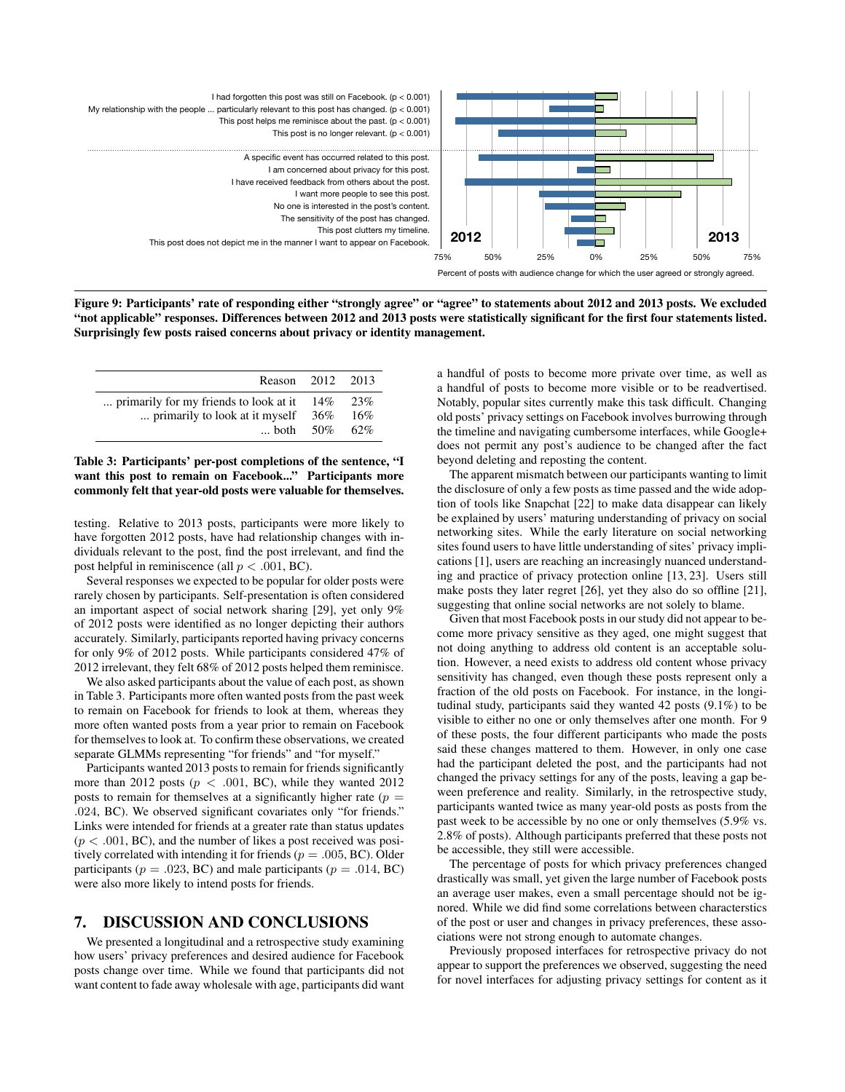

<span id="page-8-0"></span>Figure 9: Participants' rate of responding either "strongly agree" or "agree" to statements about 2012 and 2013 posts. We excluded "not applicable" responses. Differences between 2012 and 2013 posts were statistically significant for the first four statements listed. Surprisingly few posts raised concerns about privacy or identity management.

| Reason 2012 2013                        |     |     |
|-----------------------------------------|-----|-----|
| primarily for my friends to look at it. | 14% | 23% |
| primarily to look at it myself          | 36% | 16% |
| $\ldots$ both 50%                       |     | 62% |

#### <span id="page-8-1"></span>Table 3: Participants' per-post completions of the sentence, "I want this post to remain on Facebook..." Participants more commonly felt that year-old posts were valuable for themselves.

testing. Relative to 2013 posts, participants were more likely to have forgotten 2012 posts, have had relationship changes with individuals relevant to the post, find the post irrelevant, and find the post helpful in reminiscence (all  $p < .001$ , BC).

Several responses we expected to be popular for older posts were rarely chosen by participants. Self-presentation is often considered an important aspect of social network sharing [\[29\]](#page-9-4), yet only 9% of 2012 posts were identified as no longer depicting their authors accurately. Similarly, participants reported having privacy concerns for only 9% of 2012 posts. While participants considered 47% of 2012 irrelevant, they felt 68% of 2012 posts helped them reminisce.

We also asked participants about the value of each post, as shown in Table [3.](#page-8-1) Participants more often wanted posts from the past week to remain on Facebook for friends to look at them, whereas they more often wanted posts from a year prior to remain on Facebook for themselves to look at. To confirm these observations, we created separate GLMMs representing "for friends" and "for myself."

Participants wanted 2013 posts to remain for friends significantly more than 2012 posts ( $p < .001$ , BC), while they wanted 2012 posts to remain for themselves at a significantly higher rate ( $p =$ .024, BC). We observed significant covariates only "for friends." Links were intended for friends at a greater rate than status updates  $(p < .001, BC)$ , and the number of likes a post received was positively correlated with intending it for friends ( $p = .005$ , BC). Older participants ( $p = .023$ , BC) and male participants ( $p = .014$ , BC) were also more likely to intend posts for friends.

## 7. DISCUSSION AND CONCLUSIONS

We presented a longitudinal and a retrospective study examining how users' privacy preferences and desired audience for Facebook posts change over time. While we found that participants did not want content to fade away wholesale with age, participants did want

a handful of posts to become more private over time, as well as a handful of posts to become more visible or to be readvertised. Notably, popular sites currently make this task difficult. Changing old posts' privacy settings on Facebook involves burrowing through the timeline and navigating cumbersome interfaces, while Google+ does not permit any post's audience to be changed after the fact beyond deleting and reposting the content.

The apparent mismatch between our participants wanting to limit the disclosure of only a few posts as time passed and the wide adoption of tools like Snapchat [\[22\]](#page-9-20) to make data disappear can likely be explained by users' maturing understanding of privacy on social networking sites. While the early literature on social networking sites found users to have little understanding of sites' privacy implications [\[1\]](#page-9-0), users are reaching an increasingly nuanced understanding and practice of privacy protection online [\[13,](#page-9-1) [23\]](#page-9-10). Users still make posts they later regret [\[26\]](#page-9-12), yet they also do so offline [\[21\]](#page-9-11), suggesting that online social networks are not solely to blame.

Given that most Facebook posts in our study did not appear to become more privacy sensitive as they aged, one might suggest that not doing anything to address old content is an acceptable solution. However, a need exists to address old content whose privacy sensitivity has changed, even though these posts represent only a fraction of the old posts on Facebook. For instance, in the longitudinal study, participants said they wanted 42 posts (9.1%) to be visible to either no one or only themselves after one month. For 9 of these posts, the four different participants who made the posts said these changes mattered to them. However, in only one case had the participant deleted the post, and the participants had not changed the privacy settings for any of the posts, leaving a gap beween preference and reality. Similarly, in the retrospective study, participants wanted twice as many year-old posts as posts from the past week to be accessible by no one or only themselves (5.9% vs. 2.8% of posts). Although participants preferred that these posts not be accessible, they still were accessible.

The percentage of posts for which privacy preferences changed drastically was small, yet given the large number of Facebook posts an average user makes, even a small percentage should not be ignored. While we did find some correlations between characterstics of the post or user and changes in privacy preferences, these associations were not strong enough to automate changes.

Previously proposed interfaces for retrospective privacy do not appear to support the preferences we observed, suggesting the need for novel interfaces for adjusting privacy settings for content as it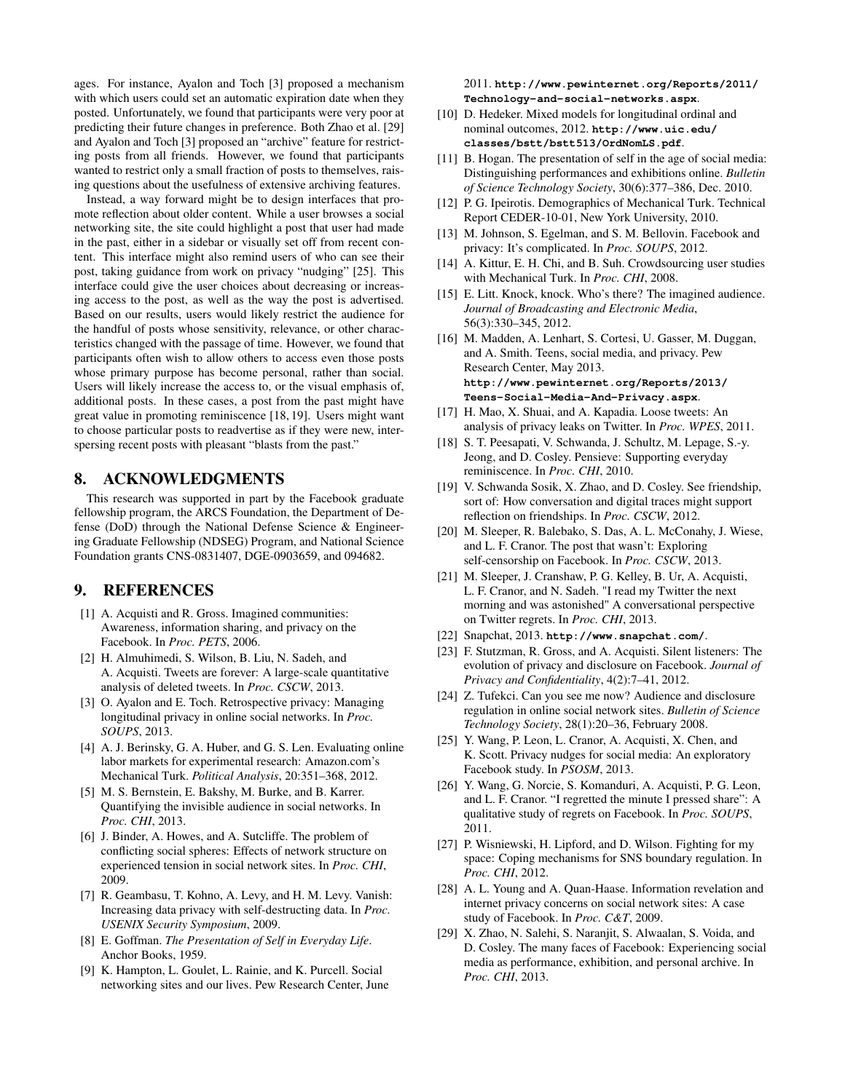ages. For instance, Ayalon and Toch [\[3\]](#page-9-5) proposed a mechanism with which users could set an automatic expiration date when they posted. Unfortunately, we found that participants were very poor at predicting their future changes in preference. Both Zhao et al. [\[29\]](#page-9-4) and Ayalon and Toch [\[3\]](#page-9-5) proposed an "archive" feature for restricting posts from all friends. However, we found that participants wanted to restrict only a small fraction of posts to themselves, raising questions about the usefulness of extensive archiving features.

Instead, a way forward might be to design interfaces that promote reflection about older content. While a user browses a social networking site, the site could highlight a post that user had made in the past, either in a sidebar or visually set off from recent content. This interface might also remind users of who can see their post, taking guidance from work on privacy "nudging" [\[25\]](#page-9-26). This interface could give the user choices about decreasing or increasing access to the post, as well as the way the post is advertised. Based on our results, users would likely restrict the audience for the handful of posts whose sensitivity, relevance, or other characteristics changed with the passage of time. However, we found that participants often wish to allow others to access even those posts whose primary purpose has become personal, rather than social. Users will likely increase the access to, or the visual emphasis of, additional posts. In these cases, a post from the past might have great value in promoting reminiscence [\[18,](#page-9-27) [19\]](#page-9-28). Users might want to choose particular posts to readvertise as if they were new, interspersing recent posts with pleasant "blasts from the past."

## 8. ACKNOWLEDGMENTS

This research was supported in part by the Facebook graduate fellowship program, the ARCS Foundation, the Department of Defense (DoD) through the National Defense Science & Engineering Graduate Fellowship (NDSEG) Program, and National Science Foundation grants CNS-0831407, DGE-0903659, and 094682.

## 9. REFERENCES

- <span id="page-9-0"></span>[1] A. Acquisti and R. Gross. Imagined communities: Awareness, information sharing, and privacy on the Facebook. In *Proc. PETS*, 2006.
- <span id="page-9-17"></span>[2] H. Almuhimedi, S. Wilson, B. Liu, N. Sadeh, and A. Acquisti. Tweets are forever: A large-scale quantitative analysis of deleted tweets. In *Proc. CSCW*, 2013.
- <span id="page-9-5"></span>[3] O. Ayalon and E. Toch. Retrospective privacy: Managing longitudinal privacy in online social networks. In *Proc. SOUPS*, 2013.
- <span id="page-9-24"></span>[4] A. J. Berinsky, G. A. Huber, and G. S. Len. Evaluating online labor markets for experimental research: Amazon.com's Mechanical Turk. *Political Analysis*, 20:351–368, 2012.
- <span id="page-9-2"></span>[5] M. S. Bernstein, E. Bakshy, M. Burke, and B. Karrer. Quantifying the invisible audience in social networks. In *Proc. CHI*, 2013.
- <span id="page-9-8"></span>[6] J. Binder, A. Howes, and A. Sutcliffe. The problem of conflicting social spheres: Effects of network structure on experienced tension in social network sites. In *Proc. CHI*, 2009.
- <span id="page-9-19"></span>[7] R. Geambasu, T. Kohno, A. Levy, and H. M. Levy. Vanish: Increasing data privacy with self-destructing data. In *Proc. USENIX Security Symposium*, 2009.
- <span id="page-9-6"></span>[8] E. Goffman. *The Presentation of Self in Everyday Life*. Anchor Books, 1959.
- <span id="page-9-22"></span>[9] K. Hampton, L. Goulet, L. Rainie, and K. Purcell. Social networking sites and our lives. Pew Research Center, June

2011. **[http://www.pewinternet.org/Reports/2011/](http://www.pewinternet.org/Reports/2011/Technology-and-social-networks.aspx) [Technology-and-social-networks.aspx](http://www.pewinternet.org/Reports/2011/Technology-and-social-networks.aspx)**.

- <span id="page-9-21"></span>[10] D. Hedeker. Mixed models for longitudinal ordinal and nominal outcomes, 2012. **[http://www.uic.edu/](http://www.uic.edu/classes/bstt/bstt513/OrdNomLS.pdf) [classes/bstt/bstt513/OrdNomLS.pdf](http://www.uic.edu/classes/bstt/bstt513/OrdNomLS.pdf)**.
- <span id="page-9-7"></span>[11] B. Hogan. The presentation of self in the age of social media: Distinguishing performances and exhibitions online. *Bulletin of Science Technology Society*, 30(6):377–386, Dec. 2010.
- <span id="page-9-23"></span>[12] P. G. Ipeirotis. Demographics of Mechanical Turk. Technical Report CEDER-10-01, New York University, 2010.
- <span id="page-9-1"></span>[13] M. Johnson, S. Egelman, and S. M. Bellovin. Facebook and privacy: It's complicated. In *Proc. SOUPS*, 2012.
- <span id="page-9-25"></span>[14] A. Kittur, E. H. Chi, and B. Suh. Crowdsourcing user studies with Mechanical Turk. In *Proc. CHI*, 2008.
- <span id="page-9-3"></span>[15] E. Litt. Knock, knock. Who's there? The imagined audience. *Journal of Broadcasting and Electronic Media*, 56(3):330–345, 2012.
- <span id="page-9-16"></span>[16] M. Madden, A. Lenhart, S. Cortesi, U. Gasser, M. Duggan, and A. Smith. Teens, social media, and privacy. Pew Research Center, May 2013. **[http://www.pewinternet.org/Reports/2013/](http://www.pewinternet.org/Reports/2013/Teens-Social-Media-And-Privacy.aspx) [Teens-Social-Media-And-Privacy.aspx](http://www.pewinternet.org/Reports/2013/Teens-Social-Media-And-Privacy.aspx)**.
- <span id="page-9-13"></span>[17] H. Mao, X. Shuai, and A. Kapadia. Loose tweets: An analysis of privacy leaks on Twitter. In *Proc. WPES*, 2011.
- <span id="page-9-27"></span>[18] S. T. Peesapati, V. Schwanda, J. Schultz, M. Lepage, S.-y. Jeong, and D. Cosley. Pensieve: Supporting everyday reminiscence. In *Proc. CHI*, 2010.
- <span id="page-9-28"></span>[19] V. Schwanda Sosik, X. Zhao, and D. Cosley. See friendship, sort of: How conversation and digital traces might support reflection on friendships. In *Proc. CSCW*, 2012.
- <span id="page-9-15"></span>[20] M. Sleeper, R. Balebako, S. Das, A. L. McConahy, J. Wiese, and L. F. Cranor. The post that wasn't: Exploring self-censorship on Facebook. In *Proc. CSCW*, 2013.
- <span id="page-9-11"></span>[21] M. Sleeper, J. Cranshaw, P. G. Kelley, B. Ur, A. Acquisti, L. F. Cranor, and N. Sadeh. "I read my Twitter the next morning and was astonished" A conversational perspective on Twitter regrets. In *Proc. CHI*, 2013.
- <span id="page-9-20"></span>[22] Snapchat, 2013. **<http://www.snapchat.com/>**.
- <span id="page-9-10"></span>[23] F. Stutzman, R. Gross, and A. Acquisti. Silent listeners: The evolution of privacy and disclosure on Facebook. *Journal of Privacy and Confidentiality*, 4(2):7–41, 2012.
- <span id="page-9-9"></span>[24] Z. Tufekci. Can you see me now? Audience and disclosure regulation in online social network sites. *Bulletin of Science Technology Society*, 28(1):20–36, February 2008.
- <span id="page-9-26"></span>[25] Y. Wang, P. Leon, L. Cranor, A. Acquisti, X. Chen, and K. Scott. Privacy nudges for social media: An exploratory Facebook study. In *PSOSM*, 2013.
- <span id="page-9-12"></span>[26] Y. Wang, G. Norcie, S. Komanduri, A. Acquisti, P. G. Leon, and L. F. Cranor. "I regretted the minute I pressed share": A qualitative study of regrets on Facebook. In *Proc. SOUPS*, 2011.
- <span id="page-9-18"></span>[27] P. Wisniewski, H. Lipford, and D. Wilson. Fighting for my space: Coping mechanisms for SNS boundary regulation. In *Proc. CHI*, 2012.
- <span id="page-9-14"></span>[28] A. L. Young and A. Quan-Haase. Information revelation and internet privacy concerns on social network sites: A case study of Facebook. In *Proc. C&T*, 2009.
- <span id="page-9-4"></span>[29] X. Zhao, N. Salehi, S. Naranjit, S. Alwaalan, S. Voida, and D. Cosley. The many faces of Facebook: Experiencing social media as performance, exhibition, and personal archive. In *Proc. CHI*, 2013.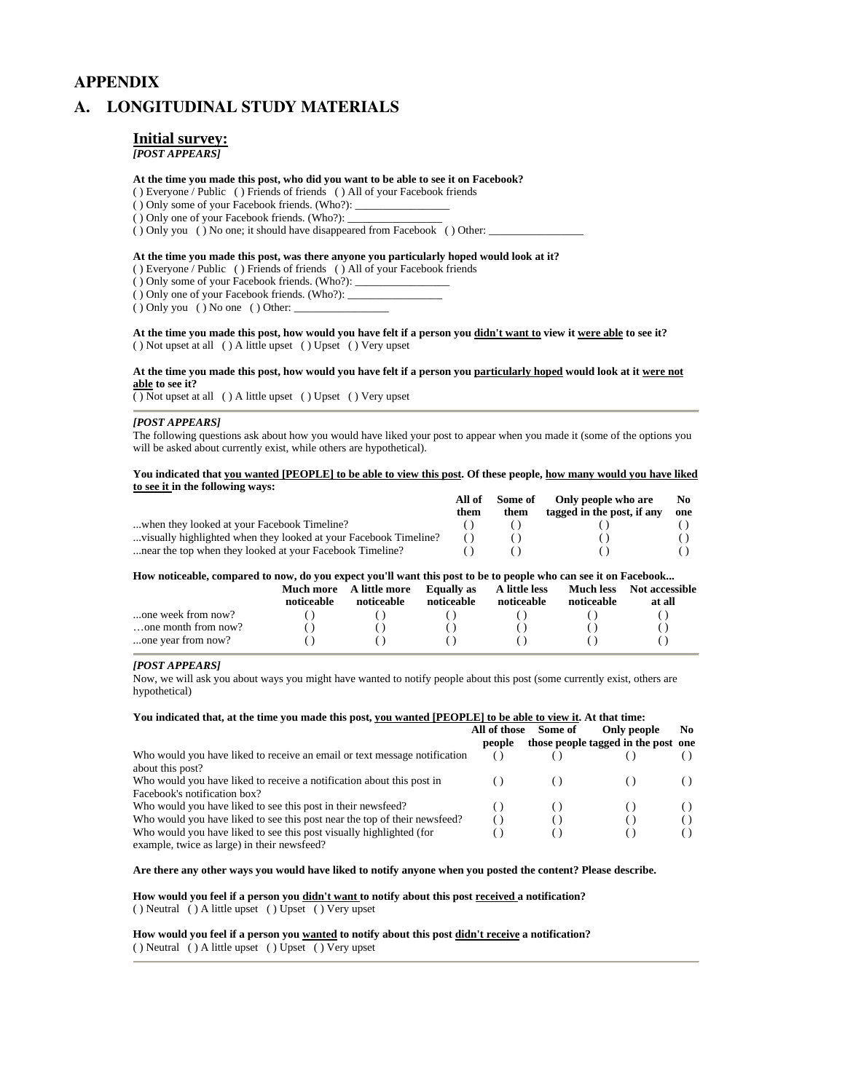## <span id="page-10-0"></span>APPENDIX A. LONGITUDINAL STUDY MATERIALS

## **Initial survey:**

*[POST APPEARS]* 

#### **At the time you made this post, who did you want to be able to see it on Facebook?**

- ( ) Everyone / Public ( ) Friends of friends ( ) All of your Facebook friends
- ( ) Only some of your Facebook friends. (Who?): \_
- ( ) Only one of your Facebook friends. (Who?): \_
- ( ) Only you ( ) No one; it should have disappeared from Facebook ( ) Other:

#### **At the time you made this post, was there anyone you particularly hoped would look at it?**

- ( ) Everyone / Public ( ) Friends of friends ( ) All of your Facebook friends
- ( ) Only some of your Facebook friends. (Who?): \_
- ( ) Only one of your Facebook friends. (Who?): \_\_\_\_\_\_\_\_\_\_\_\_\_\_\_\_\_
- ( ) Only you ( ) No one ( ) Other:  $\_$

#### **At the time you made this post, how would you have felt if a person you didn't want to view it were able to see it?**  ( ) Not upset at all ( ) A little upset ( ) Upset ( ) Very upset

#### **At the time you made this post, how would you have felt if a person you particularly hoped would look at it were not able to see it?**

 $\overline{()}$  Not upset at all ( ) A little upset ( ) Upset ( ) Very upset

#### *[POST APPEARS]*

The following questions ask about how you would have liked your post to appear when you made it (some of the options you will be asked about currently exist, while others are hypothetical).

#### **You indicated that you wanted [PEOPLE] to be able to view this post. Of these people, how many would you have liked to see it in the following ways:**

|                                                                  | All of | Some of | Only people who are        | No. |
|------------------------------------------------------------------|--------|---------|----------------------------|-----|
|                                                                  | them   | them    | tagged in the post, if any | one |
| when they looked at your Facebook Timeline?                      |        |         |                            |     |
| visually highlighted when they looked at your Facebook Timeline? |        |         |                            |     |
| near the top when they looked at your Facebook Timeline?         |        |         |                            |     |

## **How noticeable, compared to now, do you expect you'll want this post to be to people who can see it on Facebook...**

|                              |            | Much more A little more Equally as A little less |            |            | Much less  | <b>Not accessible</b> |
|------------------------------|------------|--------------------------------------------------|------------|------------|------------|-----------------------|
|                              | noticeable | noticeable                                       | noticeable | noticeable | noticeable | at all                |
| one week from now?           |            |                                                  |            |            |            |                       |
| $\ldots$ one month from now? |            |                                                  |            |            |            |                       |
| one year from now?           |            |                                                  |            |            |            |                       |

#### *[POST APPEARS]*

Now, we will ask you about ways you might have wanted to notify people about this post (some currently exist, others are hypothetical)

#### **You indicated that, at the time you made this post, you wanted [PEOPLE] to be able to view it. At that time:**

|                                                                           | All of those<br>people | Some of                | Only people<br>those people tagged in the post one | No |
|---------------------------------------------------------------------------|------------------------|------------------------|----------------------------------------------------|----|
| Who would you have liked to receive an email or text message notification |                        |                        |                                                    |    |
| about this post?                                                          |                        |                        |                                                    |    |
| Who would you have liked to receive a notification about this post in     |                        |                        |                                                    |    |
| Facebook's notification box?                                              |                        |                        |                                                    |    |
| Who would you have liked to see this post in their newsfeed?              |                        |                        |                                                    |    |
| Who would you have liked to see this post near the top of their newsfeed? |                        | $\left( \quad \right)$ |                                                    |    |
| Who would you have liked to see this post visually highlighted (for       |                        |                        |                                                    |    |
| example, twice as large) in their newsfeed?                               |                        |                        |                                                    |    |

#### **Are there any other ways you would have liked to notify anyone when you posted the content? Please describe.**

#### **How would you feel if a person you didn't want to notify about this post received a notification?**  ( ) Neutral ( ) A little upset ( ) Upset ( ) Very upset

**How would you feel if a person you wanted to notify about this post didn't receive a notification?**  ( ) Neutral ( ) A little upset ( ) Upset ( ) Very upset